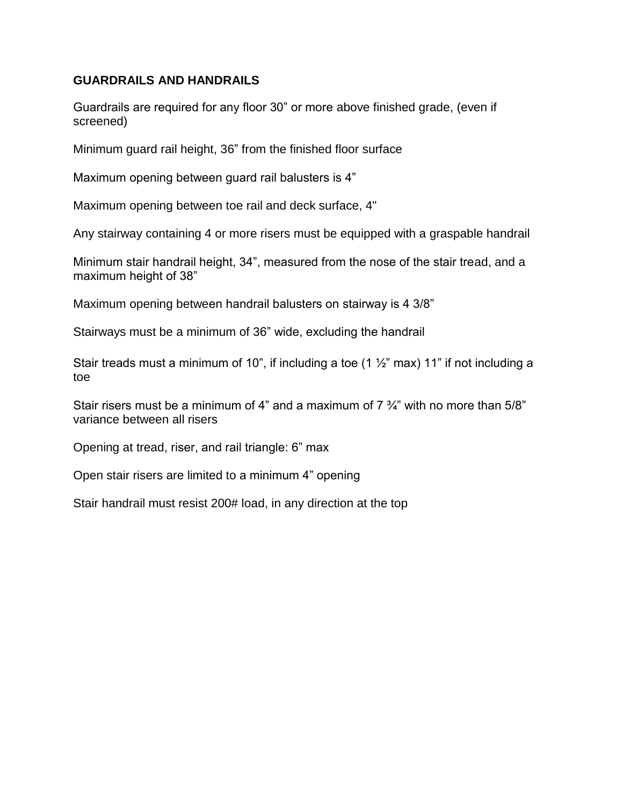## **GUARDRAILS AND HANDRAILS**

Guardrails are required for any floor 30" or more above finished grade, (even if screened)

Minimum guard rail height, 36" from the finished floor surface

Maximum opening between guard rail balusters is 4"

Maximum opening between toe rail and deck surface, 4"

Any stairway containing 4 or more risers must be equipped with a graspable handrail

Minimum stair handrail height, 34", measured from the nose of the stair tread, and a maximum height of 38"

Maximum opening between handrail balusters on stairway is 4 3/8"

Stairways must be a minimum of 36" wide, excluding the handrail

Stair treads must a minimum of 10", if including a toe (1  $\frac{1}{2}$ " max) 11" if not including a toe

Stair risers must be a minimum of 4" and a maximum of  $7\frac{3}{4}$ " with no more than 5/8" variance between all risers

Opening at tread, riser, and rail triangle: 6" max

Open stair risers are limited to a minimum 4" opening

Stair handrail must resist 200# load, in any direction at the top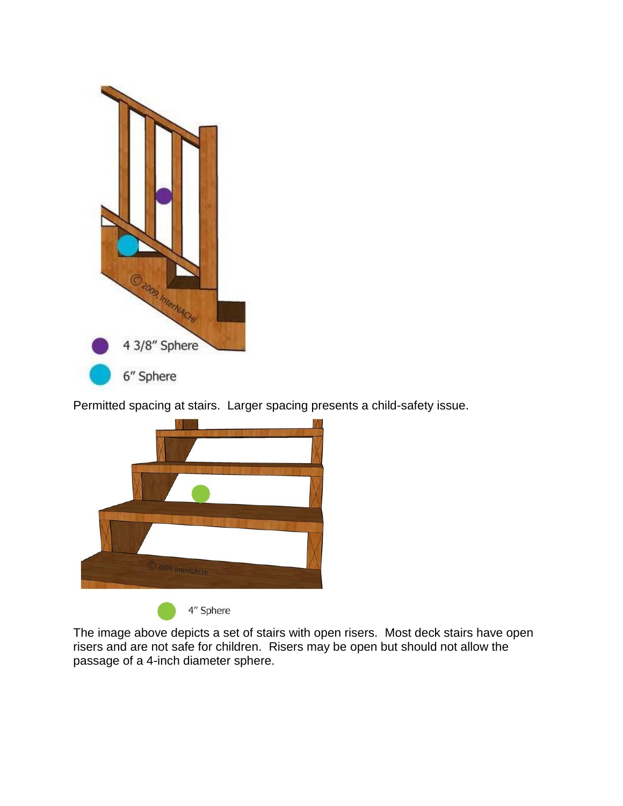

Permitted spacing at stairs. Larger spacing presents a child-safety issue.



The image above depicts a set of stairs with open risers. Most deck stairs have open risers and are not safe for children. Risers may be open but should not allow the passage of a 4-inch diameter sphere.